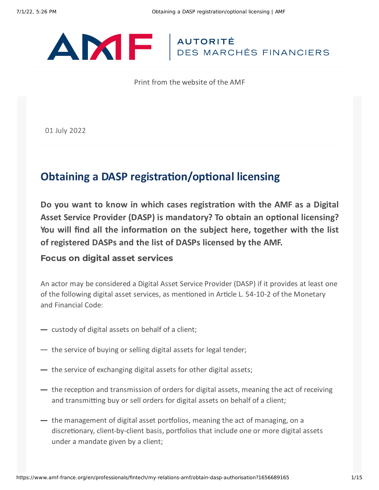# ANTE AUTORITÉ

Print from the website of the AMF

01 July 2022

# **Obtaining a DASP registration/optional licensing**

**Do you want to know in which cases registration with the AMF as a Digital Asset Service Provider (DASP) is mandatory? To obtain an optional licensing? You will find all the information on the subject here, together with the list of registered DASPs and the list of DASPs licensed by the AMF.**

#### Focus on digital asset services

An actor may be considered a Digital Asset Service Provider (DASP) if it provides at least one of the following digital asset services, as mentioned in Article L. 54-10-2 of the Monetary and Financial Code:

- custody of digital assets on behalf of a client;
- $-$  the service of buying or selling digital assets for legal tender;
- $\rightarrow$  the service of exchanging digital assets for other digital assets;
- $-$  the reception and transmission of orders for digital assets, meaning the act of receiving and transmitting buy or sell orders for digital assets on behalf of a client;
- $-$  the management of digital asset portfolios, meaning the act of managing, on a discretionary, client-by-client basis, portfolios that include one or more digital assets under a mandate given by a client;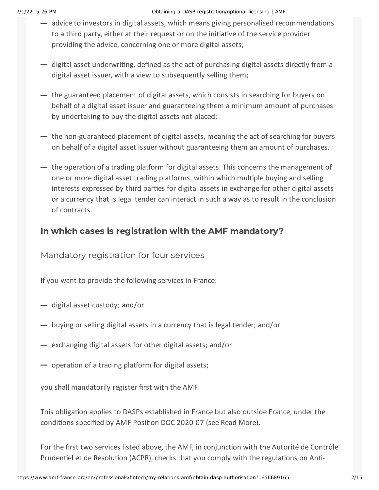- advice to investors in digital assets, which means giving personalised recommendations to a third party, either at their request or on the initiative of the service provider providing the advice, concerning one or more digital assets;
- $-$  digital asset underwriting, defined as the act of purchasing digital assets directly from a digital asset issuer, with a view to subsequently selling them;
- $-$  the guaranteed placement of digital assets, which consists in searching for buyers on behalf of a digital asset issuer and guaranteeing them a minimum amount of purchases by undertaking to buy the digital assets not placed;
- $-$  the non-guaranteed placement of digital assets, meaning the act of searching for buyers on behalf of a digital asset issuer without guaranteeing them an amount of purchases.
- $-$  the operation of a trading platform for digital assets. This concerns the management of one or more digital asset trading platforms, within which multiple buying and selling interests expressed by third parties for digital assets in exchange for other digital assets or a currency that is legal tender can interact in such a way as to result in the conclusion of contracts.

## In which cases is registration with the AMF mandatory?

Mandatory registration for four services

If you want to provide the following services in France:

- $\rightarrow$  digital asset custody; and/or
- buying or selling digital assets in a currency that is legal tender; and/or
- $\equiv$  exchanging digital assets for other digital assets; and/or
- $\rightarrow$  operation of a trading platform for digital assets;

you shall mandatorily register first with the AMF.

This obligation applies to DASPs established in France but also outside France, under the conditions specified by AMF Position DOC 2020-07 (see Read More).

For the first two services listed above, the AMF, in conjunction with the Autorité de Contrôle Prudentiel et de Résolution (ACPR), checks that you comply with the regulations on Anti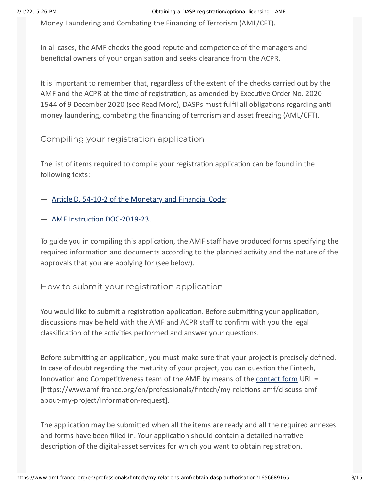Money Laundering and Combating the Financing of Terrorism (AML/CFT).

In all cases, the AMF checks the good repute and competence of the managers and beneficial owners of your organisation and seeks clearance from the ACPR.

It is important to remember that, regardless of the extent of the checks carried out by the AMF and the ACPR at the time of registration, as amended by Executive Order No. 2020- 1544 of 9 December 2020 (see Read More), DASPs must fulfil all obligations regarding antimoney laundering, combating the financing of terrorism and asset freezing (AML/CFT).

## Compiling your registration application

The list of items required to compile your registration application can be found in the following texts:

- Article D. 54-10-2 of the [Monetary](https://www.legifrance.gouv.fr/codes/article_lc/LEGIARTI000039408736/2019-11-23/) and Financial Code;
- AMF Instruction [DOC-2019-23](https://www.amf-france.org/en/regulation/policy/doc-2019-23).

To guide you in compiling this application, the AMF staff have produced forms specifying the required information and documents according to the planned activity and the nature of the approvals that you are applying for (see below).

## How to submit your registration application

You would like to submit a registration application. Before submitting your application, discussions may be held with the AMF and ACPR staff to confirm with you the legal classification of the activities performed and answer your questions.

Before submitting an application, you must make sure that your project is precisely defined. In case of doubt regarding the maturity of your project, you can question the Fintech, Innovation and Competitiveness team of the AMF by means of the [contact](https://www.amf-france.org/en/professionals/fintech/my-relations-amf/discuss-amf-about-my-project/information-request) form URL = [https://www.amf-france.org/en/professionals/fintech/my-relations-amf/discuss-amfabout-my-project/information-request].

The application may be submitted when all the items are ready and all the required annexes and forms have been filled in. Your application should contain a detailed narrative description of the digital-asset services for which you want to obtain registration.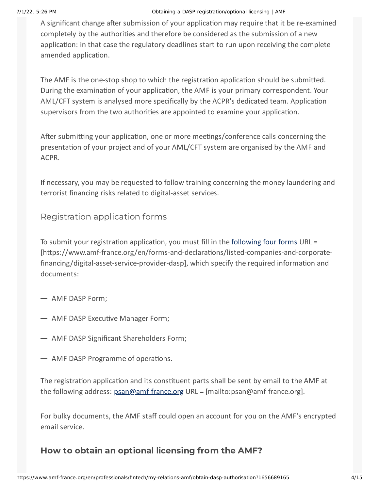#### 7/1/22, 5:26 PM Obtaining a DASP registration/optional licensing | AMF

A significant change after submission of your application may require that it be re-examined completely by the authorities and therefore be considered as the submission of a new application: in that case the regulatory deadlines start to run upon receiving the complete amended application.

The AMF is the one-stop shop to which the registration application should be submitted. During the examination of your application, the AMF is your primary correspondent. Your AML/CFT system is analysed more specifically by the ACPR's dedicated team. Application supervisors from the two authorities are appointed to examine your application.

After submitting your application, one or more meetings/conference calls concerning the presentation of your project and of your AML/CFT system are organised by the AMF and ACPR.

If necessary, you may be requested to follow training concerning the money laundering and terrorist financing risks related to digital-asset services.

Registration application forms

To submit your registration application, you must fill in the [following](https://www.amf-france.org/en/forms-and-declarations/listed-companies-and-corporate-financing/digital-asset-service-provider-dasp) four forms URL = [https://www.amf-france.org/en/forms-and-declarations/listed-companies-and-corporate financing/digital-asset-service-provider-dasp], which specify the required information and documents:

- $-$  AMF DASP Form;
- AMF DASP Executive Manager Form;
- AMF DASP Significant Shareholders Form;
- AMF DASP Programme of operations.

The registration application and its constituent parts shall be sent by email to the AMF at the following address: [psan@amf-france.org](mailto:psan@amf-france.org) URL = [mailto:psan@amf-france.org].

For bulky documents, the AMF staff could open an account for you on the AMF's encrypted email service.

## How to obtain an optional licensing from the AMF?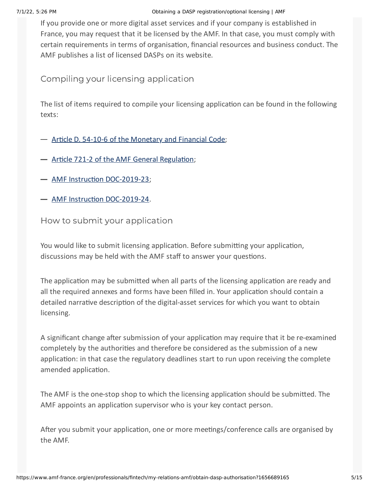#### 7/1/22, 5:26 PM Obtaining a DASP registration/optional licensing | AMF

If you provide one or more digital asset services and if your company is established in France, you may request that it be licensed by the AMF. In that case, you must comply with certain requirements in terms of organisation, financial resources and business conduct. The AMF publishes a list of licensed DASPs on its website.

Compiling your licensing application

The list of items required to compile your licensing application can be found in the following texts:

- Article D. 54-10-6 of the [Monetary](https://www.legifrance.gouv.fr/codes/article_lc/LEGIARTI000039408742/) and Financial Code;
- Article 721-2 of the AMF General [Regulation](https://www.amf-france.org/en/eli/fr/aai/amf/rg/article/721-2/20191219/notes);
- AMF Instruction [DOC-2019-23](https://www.amf-france.org/en/regulation/policy/doc-2019-23);
- AMF Instruction [DOC-2019-24](https://www.amf-france.org/en/regulation/policy/doc-2019-24).

How to submit your application

You would like to submit licensing application. Before submitting your application, discussions may be held with the AMF staff to answer your questions.

The application may be submitted when all parts of the licensing application are ready and all the required annexes and forms have been filled in. Your application should contain a detailed narrative description of the digital-asset services for which you want to obtain licensing.

A significant change after submission of your application may require that it be re-examined completely by the authorities and therefore be considered as the submission of a new application: in that case the regulatory deadlines start to run upon receiving the complete amended application.

The AMF is the one-stop shop to which the licensing application should be submitted. The AMF appoints an application supervisor who is your key contact person.

After you submit your application, one or more meetings/conference calls are organised by the AMF.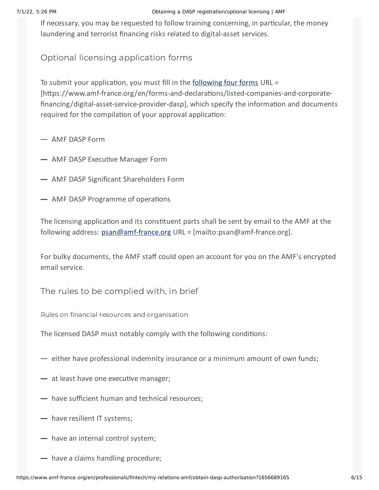#### 7/1/22, 5:26 PM Obtaining a DASP registration/optional licensing | AMF

If necessary, you may be requested to follow training concerning, in particular, the money laundering and terrorist financing risks related to digital-asset services.

Optional licensing application forms

To submit your application, you must fill in the [following](https://www.amf-france.org/en/forms-and-declarations/listed-companies-and-corporate-financing/digital-asset-service-provider-dasp) four forms URL = [https://www.amf-france.org/en/forms-and-declarations/listed-companies-and-corporate financing/digital-asset-service-provider-dasp], which specify the information and documents required for the compilation of your approval application:

 $-$  AMF DASP Form

- **AMF DASP Executive Manager Form**
- AMF DASP Significant Shareholders Form
- AMF DASP Programme of operations

The licensing application and its constituent parts shall be sent by email to the AMF at the following address: [psan@amf-france.org](mailto:psan@amf-france.org) URL = [mailto:psan@amf-france.org].

For bulky documents, the AMF staff could open an account for you on the AMF's encrypted email service.

The rules to be complied with, in brief

Rules on financial resources and organisation

The licensed DASP must notably comply with the following conditions:

- $\rightarrow$  either have professional indemnity insurance or a minimum amount of own funds;
- $-$  at least have one executive manager;
- $-$  have sufficient human and technical resources;
- have resilient IT systems;
- have an internal control system;
- $\rightarrow$  have a claims handling procedure;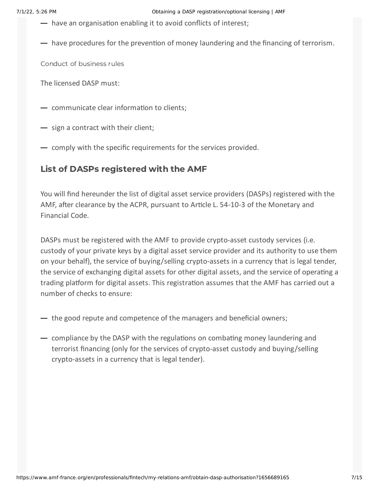- $\rightarrow$  have an organisation enabling it to avoid conflicts of interest;
- $-$  have procedures for the prevention of money laundering and the financing of terrorism.

Conduct of business rules

The licensed DASP must:

- communicate clear information to clients;
- sign a contract with their client;
- comply with the specific requirements for the services provided.

#### List of DASPs registered with the AMF

You will find hereunder the list of digital asset service providers (DASPs) registered with the AMF, after clearance by the ACPR, pursuant to Article L. 54-10-3 of the Monetary and Financial Code.

DASPs must be registered with the AMF to provide crypto-asset custody services (i.e. custody of your private keys by a digital asset service provider and its authority to use them on your behalf), the service of buying/selling crypto-assets in a currency that is legal tender, the service of exchanging digital assets for other digital assets, and the service of operating a trading platform for digital assets. This registration assumes that the AMF has carried out a number of checks to ensure:

- $\rightarrow$  the good repute and competence of the managers and beneficial owners;
- $-$  compliance by the DASP with the regulations on combating money laundering and terrorist financing (only for the services of crypto-asset custody and buying/selling crypto-assets in a currency that is legal tender).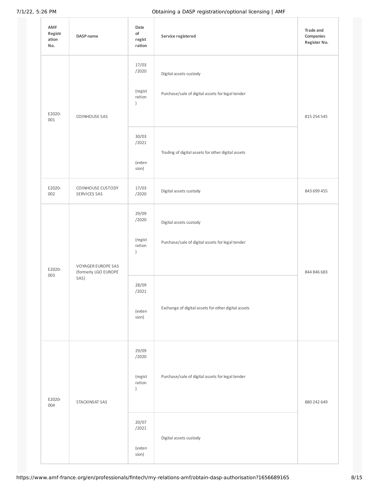| AMF<br>Registr<br>ation<br>No. | DASP name                                          | Date<br>of<br>regist<br>ration                                                        | Service registered                                                                                                                | Trade and<br>Companies<br>Register No. |
|--------------------------------|----------------------------------------------------|---------------------------------------------------------------------------------------|-----------------------------------------------------------------------------------------------------------------------------------|----------------------------------------|
| E2020-<br>001                  | COINHOUSE SAS                                      | 17/03<br>/2020<br>(regist<br>ration<br>$\left( \right)$<br>30/03<br>/2021             | Digital assets custody<br>Purchase/sale of digital assets for legal tender                                                        | 815 254 545                            |
|                                |                                                    | (exten<br>sion)                                                                       | Trading of digital assets for other digital assets                                                                                |                                        |
| E2020-<br>002                  | COINHOUSE CUSTODY<br>SERVICES SAS                  | 17/03<br>/2020                                                                        | Digital assets custody                                                                                                            | 843 699 455                            |
| E2020-<br>003                  | VOYAGER EUROPE SAS<br>(formerly LGO EUROPE<br>SAS) | 29/09<br>/2020<br>(regist<br>ration<br>$\lambda$<br>28/09<br>/2021<br>(exten<br>sion) | Digital assets custody<br>Purchase/sale of digital assets for legal tender<br>Exchange of digital assets for other digital assets | 844 846 683                            |
| E2020-<br>004                  | STACKINSAT SAS                                     | 29/09<br>/2020<br>(regist<br>ration<br>$\lambda$<br>20/07<br>/2021<br>(exten<br>sion) | Purchase/sale of digital assets for legal tender<br>Digital assets custody                                                        | 880 242 649                            |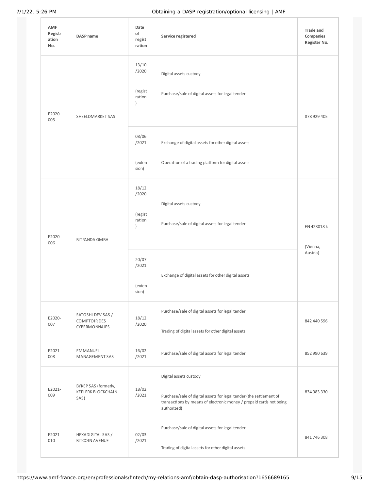| AMF<br>Registr<br>ation<br>No. | DASP name                                                        | Date<br>of<br>regist<br>ration                                         | Service registered                                                                                                                                                                  | Trade and<br>Companies<br>Register No. |
|--------------------------------|------------------------------------------------------------------|------------------------------------------------------------------------|-------------------------------------------------------------------------------------------------------------------------------------------------------------------------------------|----------------------------------------|
| E2020-<br>005                  | SHEELDMARKET SAS                                                 | 13/10<br>/2020<br>(regist<br>ration<br>$\mathcal{L}$<br>08/06<br>/2021 | Digital assets custody<br>Purchase/sale of digital assets for legal tender<br>Exchange of digital assets for other digital assets                                                   | 878 929 405                            |
|                                |                                                                  | (exten<br>sion)                                                        | Operation of a trading platform for digital assets                                                                                                                                  |                                        |
| E2020-<br>006                  | BITPANDA GMBH                                                    | 18/12<br>/2020<br>(regist<br>ration<br>$\lambda$                       | Digital assets custody<br>Purchase/sale of digital assets for legal tender                                                                                                          | FN 423018 k<br>(Vienna,<br>Austria)    |
|                                |                                                                  | 20/07<br>/2021<br>(exten<br>sion)                                      | Exchange of digital assets for other digital assets                                                                                                                                 |                                        |
| E2020-<br>007                  | SATOSHI DEV SAS /<br><b>COMPTOIR DES</b><br><b>CYBERMONNAIES</b> | 18/12<br>/2020                                                         | Purchase/sale of digital assets for legal tender<br>Trading of digital assets for other digital assets                                                                              | 842 440 596                            |
| E2021-<br>008                  | EMMANUEL<br>MANAGEMENT SAS                                       | 16/02<br>/2021                                                         | Purchase/sale of digital assets for legal tender                                                                                                                                    | 852 990 639                            |
| E2021-<br>009                  | BYKEP SAS (formerly,<br>KEPLERK BLOCKCHAIN<br>SAS)               | 18/02<br>/2021                                                         | Digital assets custody<br>Purchase/sale of digital assets for legal tender (the settlement of<br>transactions by means of electronic money / prepaid cards not being<br>authorized) | 834 983 330                            |
| E2021-<br>010                  | HEXADIGITAL SAS /<br><b>BITCOIN AVENUE</b>                       | 02/03<br>/2021                                                         | Purchase/sale of digital assets for legal tender<br>Trading of digital assets for other digital assets                                                                              | 841 746 308                            |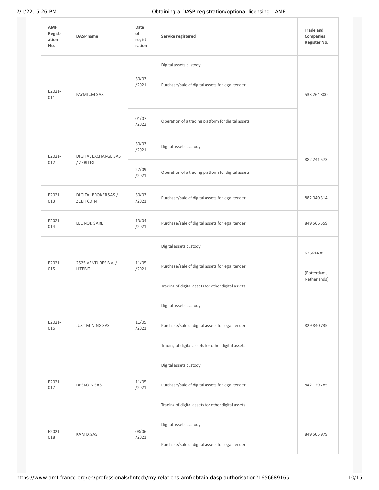| <b>AMF</b><br>Registr<br>ation<br>No. | DASP name                         | Date<br>of<br>regist<br>ration | Service registered                                 | <b>Trade and</b><br>Companies<br>Register No. |
|---------------------------------------|-----------------------------------|--------------------------------|----------------------------------------------------|-----------------------------------------------|
| E2021-<br>011                         | PAYMIUM SAS                       | 30/03<br>/2021                 | Digital assets custody                             | 533 264 800                                   |
|                                       |                                   |                                | Purchase/sale of digital assets for legal tender   |                                               |
|                                       |                                   | 01/07<br>/2022                 | Operation of a trading platform for digital assets |                                               |
| E2021-                                | DIGITAL EXCHANGE SAS              | 30/03<br>/2021                 | Digital assets custody                             |                                               |
| 012                                   | / ZEBITEX                         | 27/09<br>/2021                 | Operation of a trading platform for digital assets | 882 241 573                                   |
| E2021-<br>013                         | DIGITAL BROKER SAS /<br>ZEBITCOIN | 30/03<br>/2021                 | Purchase/sale of digital assets for legal tender   | 882 040 314                                   |
| E2021-<br>014                         | <b>LEONOD SARL</b>                | 13/04<br>/2021                 | Purchase/sale of digital assets for legal tender   | 849 566 559                                   |
|                                       | 2525 VENTURES B.V. /<br>LITEBIT   | 11/05<br>/2021                 | Digital assets custody                             | 63661438<br>(Rotterdam,<br>Netherlands)       |
| E2021-<br>015                         |                                   |                                | Purchase/sale of digital assets for legal tender   |                                               |
|                                       |                                   |                                | Trading of digital assets for other digital assets |                                               |
|                                       |                                   |                                | Digital assets custody                             |                                               |
| E2021-<br>016                         | <b>JUST MINING SAS</b>            | 11/05<br>/2021                 | Purchase/sale of digital assets for legal tender   | 829 840 735                                   |
|                                       |                                   |                                | Trading of digital assets for other digital assets |                                               |
| E2021-<br>017                         | <b>DESKOIN SAS</b>                | 11/05<br>/2021                 | Digital assets custody                             |                                               |
|                                       |                                   |                                | Purchase/sale of digital assets for legal tender   | 842 129 785                                   |
|                                       |                                   |                                | Trading of digital assets for other digital assets |                                               |
| E2021-<br>018                         | KAMIX SAS                         | 08/06<br>/2021                 | Digital assets custody                             | 849 505 979                                   |
|                                       |                                   |                                | Purchase/sale of digital assets for legal tender   |                                               |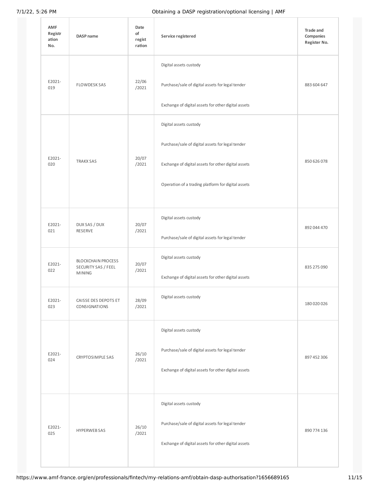| AMF<br>Registr<br>ation<br>No. | DASP name                                                         | Date<br>of<br>regist<br>ration | Service registered                                                            | Trade and<br>Companies<br>Register No. |
|--------------------------------|-------------------------------------------------------------------|--------------------------------|-------------------------------------------------------------------------------|----------------------------------------|
| E2021-<br>019                  | <b>FLOWDESK SAS</b>                                               | 22/06<br>/2021                 | Digital assets custody<br>Purchase/sale of digital assets for legal tender    | 883 604 647                            |
|                                |                                                                   |                                | Exchange of digital assets for other digital assets                           |                                        |
|                                | <b>TRAKX SAS</b>                                                  | 20/07<br>/2021                 | Digital assets custody<br>Purchase/sale of digital assets for legal tender    |                                        |
| E2021-<br>020                  |                                                                   |                                | Exchange of digital assets for other digital assets                           | 850 626 078                            |
|                                |                                                                   |                                | Operation of a trading platform for digital assets                            |                                        |
| E2021-<br>021                  | DUX SAS / DUX<br>RESERVE                                          | 20/07<br>/2021                 | Digital assets custody                                                        | 892 044 470                            |
|                                |                                                                   |                                | Purchase/sale of digital assets for legal tender                              |                                        |
| E2021-<br>022                  | <b>BLOCKCHAIN PROCESS</b><br>SECURITY SAS / FEEL<br><b>MINING</b> | 20/07<br>/2021                 | Digital assets custody<br>Exchange of digital assets for other digital assets | 835 275 090                            |
| E2021-<br>023                  | CAISSE DES DEPOTS ET<br>CONSIGNATIONS                             | 28/09<br>/2021                 | Digital assets custody                                                        | 180 020 026                            |
|                                |                                                                   |                                | Digital assets custody                                                        |                                        |
| E2021-<br>024                  | CRYPTOSIMPLE SAS                                                  | 26/10<br>/2021                 | Purchase/sale of digital assets for legal tender                              | 897 452 306                            |
|                                |                                                                   |                                | Exchange of digital assets for other digital assets                           |                                        |
| E2021-<br>025                  | <b>HYPERWEB SAS</b>                                               | 26/10<br>/2021                 | Digital assets custody                                                        |                                        |
|                                |                                                                   |                                | Purchase/sale of digital assets for legal tender                              | 890 774 136                            |
|                                |                                                                   |                                | Exchange of digital assets for other digital assets                           |                                        |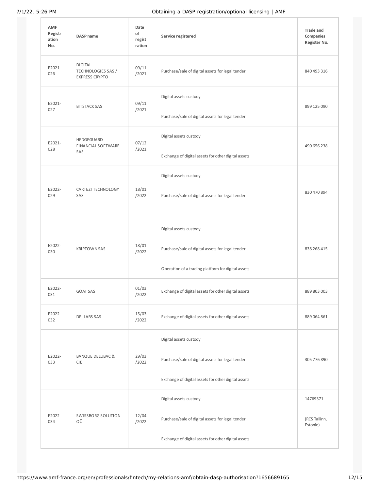| <b>AMF</b><br>Registr<br>ation<br>No. | <b>DASP</b> name                                              | Date<br>of<br>regist<br>ration | Service registered                                                                                                                | Trade and<br>Companies<br>Register No. |
|---------------------------------------|---------------------------------------------------------------|--------------------------------|-----------------------------------------------------------------------------------------------------------------------------------|----------------------------------------|
| E2021-<br>026                         | <b>DIGITAL</b><br>TECHNOLOGIES SAS /<br><b>EXPRESS CRYPTO</b> | 09/11<br>/2021                 | Purchase/sale of digital assets for legal tender                                                                                  | 840 493 316                            |
| E2021-<br>027                         | <b>BITSTACK SAS</b>                                           | 09/11<br>/2021                 | Digital assets custody<br>Purchase/sale of digital assets for legal tender                                                        | 899 125 090                            |
| E2021-<br>028                         | HEDGEGUARD<br>FINANCIAL SOFTWARE<br>SAS                       | 07/12<br>/2021                 | Digital assets custody<br>Exchange of digital assets for other digital assets                                                     | 490 656 238                            |
| E2022-<br>029                         | CARTEZI TECHNOLOGY<br>SAS                                     | 18/01<br>/2022                 | Digital assets custody<br>Purchase/sale of digital assets for legal tender                                                        | 830 470 894                            |
| E2022-<br>030                         | <b>KRIPTOWN SAS</b>                                           | 18/01<br>/2022                 | Digital assets custody<br>Purchase/sale of digital assets for legal tender<br>Operation of a trading platform for digital assets  | 838 268 415                            |
| E2022-<br>031                         | <b>GOAT SAS</b>                                               | 01/03<br>/2022                 | Exchange of digital assets for other digital assets                                                                               | 889 803 003                            |
| E2022-<br>032                         | DFI LABS SAS                                                  | 15/03<br>/2022                 | Exchange of digital assets for other digital assets                                                                               | 889 064 861                            |
| E2022-<br>033                         | BANQUE DELUBAC &<br><b>CIE</b>                                | 29/03<br>/2022                 | Digital assets custody<br>Purchase/sale of digital assets for legal tender<br>Exchange of digital assets for other digital assets | 305 776 890                            |
| E2022-<br>034                         | SWISSBORG SOLUTION<br>ΟÜ                                      | 12/04<br>/2022                 | Digital assets custody<br>Purchase/sale of digital assets for legal tender<br>Exchange of digital assets for other digital assets | 14769371<br>(RCS Tallinn,<br>Estonie)  |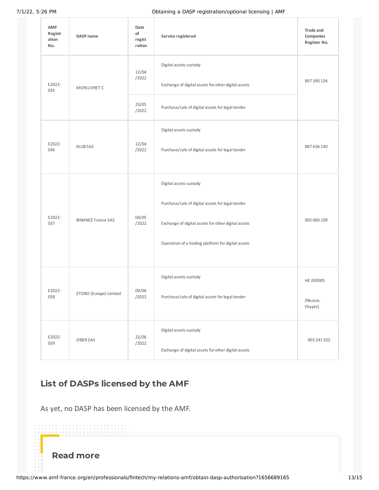| AMF<br>Registr<br>ation<br>No. | DASP name                 | Date<br>of<br>regist<br>ration | Service registered                                  | <b>Trade and</b><br>Companies<br>Register No. |
|--------------------------------|---------------------------|--------------------------------|-----------------------------------------------------|-----------------------------------------------|
| E2022-<br>035                  | MON LIVRET C              | 12/04<br>/2022                 | Digital assets custody                              |                                               |
|                                |                           |                                | Exchange of digital assets for other digital assets | 897 390 134                                   |
|                                |                           | 23/05<br>/2022                 | Purchase/sale of digital assets for legal tender    |                                               |
|                                |                           |                                | Digital assets custody                              |                                               |
| E2022-<br>036                  | <b>KLUB SAS</b>           | 12/04<br>/2022                 | Purchase/sale of digital assets for legal tender    | 887 636 140                                   |
|                                |                           |                                | Digital assets custody                              |                                               |
|                                | <b>BINANCE France SAS</b> | 04/05<br>/2022                 | Purchase/sale of digital assets for legal tender    |                                               |
| E2022-<br>037                  |                           |                                | Exchange of digital assets for other digital assets | 905 060 109                                   |
|                                |                           |                                | Operation of a trading platform for digital assets  |                                               |
| E2022-<br>038                  | ETORO (Europe) Limited    | 09/06<br>/2022                 | Digital assets custody                              | HE 200585                                     |
|                                |                           |                                | Purchase/sale of digital assets for legal tender    | (Nicosie,<br>Chypre)                          |
| E2022-<br>039                  | LYBER SAS                 | 22/06<br>/2022                 | Digital assets custody                              | 903 241 925                                   |
|                                |                           |                                | Exchange of digital assets for other digital assets |                                               |

# List of DASPs licensed by the AMF

As yet, no DASP has been licensed by the AMF.

Read more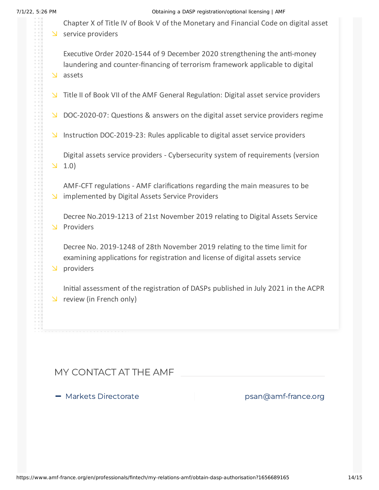Chapter X of Title IV of Book V of the [Monetary](https://www.legifrance.gouv.fr/codes/section_lc/LEGITEXT000006072026/LEGISCTA000038509568/2021-02-05/) and Financial Code on digital asset  $S$  service providers

Executive Order 2020-1544 of 9 December 2020 strengthening the anti-money laundering and [counter-financing](https://www.legifrance.gouv.fr/jorf/id/JORFTEXT000042636234) of terrorism framework applicable to digital s assets

- $\forall$  Title II of Book VII of the AMF General [Regulation:](https://reglement-general.amf-france.org/eli/fr/aai/amf/rg/livre/7/notes/fr.html) Digital asset service providers
- $\vee$  [DOC-2020-07:](https://www.amf-france.org/en/regulation/policy/doc-2020-07) Questions & answers on the digital asset service providers regime
- Instruction [DOC-2019-23:](https://www.amf-france.org/en/regulation/policy/doc-2019-23) Rules applicable to digital asset service providers

Digital assets service providers - [Cybersecurity](https://doctrine.amf-france.org/technique/proxy-lien?docId=workspace%3A%2F%2FSpacesStore%2F0a3bc47b-e103-4601-a9e4-9fda00b76784&famille=DOCTRINE&langue=en) system of requirements (version  $1.0$ 

AMF-CFT regulations - AMF clarifications regarding the main measures to be  $\triangleright$  [implemented](https://www.amf-france.org/sites/default/files/private/2021-07/aml-cft-regulations.pdf) by Digital Assets Service Providers

Decree [No.2019-1213](https://www.amf-france.org/sites/default/files/2020-01/decree-services-definitions-en.pdf) of 21st November 2019 relating to Digital Assets Service **N** Providers

Decree No. 2019-1248 of 28th November 2019 relating to the time limit for examining [applications](https://www.amf-france.org/sites/default/files/2020-01/decree-conseil-detat-en.pdf) for registration and license of digital assets service **N** providers

Initial [assessment](https://acpr.banque-france.fr/sites/default/files/medias/documents/202107_revue_acpr_premier_bilan_enregistrement_psan.pdf) of the registration of DASPs published in July 2021 in the ACPR  $\vee$  review (in French only)

# MY CONTACT AT THE AMF

- Markets Directorate

[psan@amf-france.org](mailto:psan@amf-france.org)